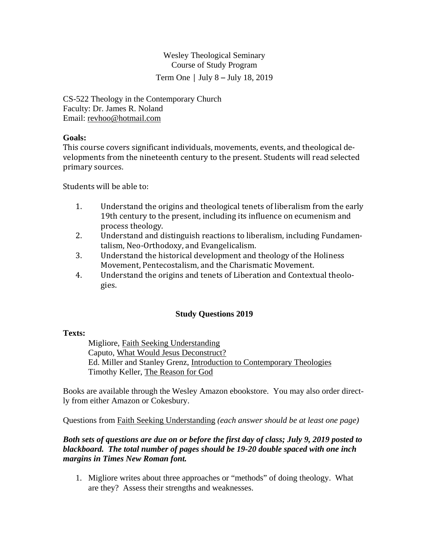Wesley Theological Seminary Course of Study Program Term One  $\vert$  July 8 – July 18, 2019

CS-522 Theology in the Contemporary Church Faculty: Dr. James R. Noland Email: revhoo@hotmail.com

## **Goals:**

This course covers significant individuals, movements, events, and theological developments from the nineteenth century to the present. Students will read selected primary sources.

Students will be able to:

- 1. Understand the origins and theological tenets of liberalism from the early 19th century to the present, including its influence on ecumenism and process theology.
- 2. Understand and distinguish reactions to liberalism, including Fundamentalism, Neo-Orthodoxy, and Evangelicalism.
- 3. Understand the historical development and theology of the Holiness Movement, Pentecostalism, and the Charismatic Movement.
- 4. Understand the origins and tenets of Liberation and Contextual theologies.

# **Study Questions 2019**

#### **Texts:**

 Migliore, Faith Seeking Understanding Caputo, What Would Jesus Deconstruct? Ed. Miller and Stanley Grenz, Introduction to Contemporary Theologies Timothy Keller, The Reason for God

Books are available through the Wesley Amazon ebookstore. You may also order directly from either Amazon or Cokesbury.

Questions from Faith Seeking Understanding *(each answer should be at least one page)* 

## *Both sets of questions are due on or before the first day of class; July 9, 2019 posted to blackboard. The total number of pages should be 19-20 double spaced with one inch margins in Times New Roman font.*

1. Migliore writes about three approaches or "methods" of doing theology. What are they? Assess their strengths and weaknesses.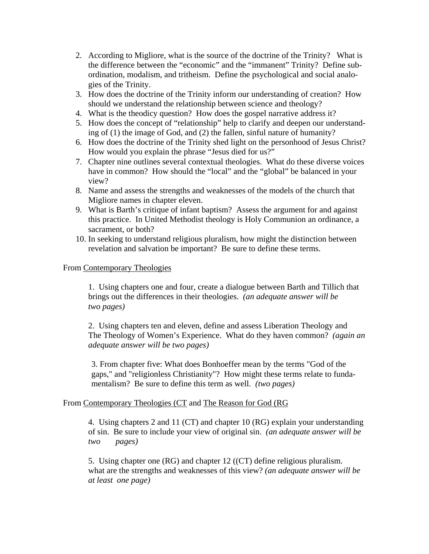- 2. According to Migliore, what is the source of the doctrine of the Trinity? What is the difference between the "economic" and the "immanent" Trinity? Define subordination, modalism, and tritheism. Define the psychological and social analogies of the Trinity.
- 3. How does the doctrine of the Trinity inform our understanding of creation? How should we understand the relationship between science and theology?
- 4. What is the theodicy question? How does the gospel narrative address it?
- 5. How does the concept of "relationship" help to clarify and deepen our understanding of (1) the image of God, and (2) the fallen, sinful nature of humanity?
- 6. How does the doctrine of the Trinity shed light on the personhood of Jesus Christ? How would you explain the phrase "Jesus died for us?"
- 7. Chapter nine outlines several contextual theologies. What do these diverse voices have in common? How should the "local" and the "global" be balanced in your view?
- 8. Name and assess the strengths and weaknesses of the models of the church that Migliore names in chapter eleven.
- 9. What is Barth's critique of infant baptism? Assess the argument for and against this practice. In United Methodist theology is Holy Communion an ordinance, a sacrament, or both?
- 10. In seeking to understand religious pluralism, how might the distinction between revelation and salvation be important? Be sure to define these terms.

#### From Contemporary Theologies

1. Using chapters one and four, create a dialogue between Barth and Tillich that brings out the differences in their theologies. *(an adequate answer will be two pages)* 

2. Using chapters ten and eleven, define and assess Liberation Theology and The Theology of Women's Experience. What do they haven common? *(again an adequate answer will be two pages)*

3. From chapter five: What does Bonhoeffer mean by the terms "God of the gaps," and "religionless Christianity"? How might these terms relate to fundamentalism? Be sure to define this term as well. *(two pages)* 

#### From Contemporary Theologies (CT and The Reason for God (RG

4. Using chapters 2 and 11 (CT) and chapter 10 (RG) explain your understanding of sin. Be sure to include your view of original sin. *(an adequate answer will be two pages)*

 5. Using chapter one (RG) and chapter 12 ((CT) define religious pluralism. what are the strengths and weaknesses of this view? *(an adequate answer will be at least one page)*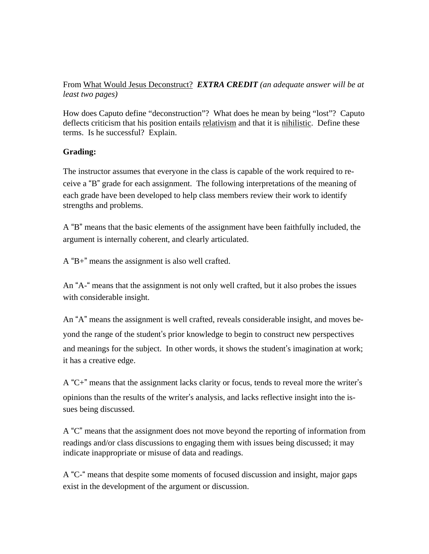# From What Would Jesus Deconstruct? *EXTRA CREDIT (an adequate answer will be at least two pages)*

How does Caputo define "deconstruction"? What does he mean by being "lost"? Caputo deflects criticism that his position entails relativism and that it is nihilistic. Define these terms. Is he successful? Explain.

# **Grading:**

The instructor assumes that everyone in the class is capable of the work required to receive a "B" grade for each assignment. The following interpretations of the meaning of each grade have been developed to help class members review their work to identify strengths and problems.

A "B" means that the basic elements of the assignment have been faithfully included, the argument is internally coherent, and clearly articulated.

A "B+" means the assignment is also well crafted.

An "A-" means that the assignment is not only well crafted, but it also probes the issues with considerable insight.

An "A" means the assignment is well crafted, reveals considerable insight, and moves beyond the range of the student's prior knowledge to begin to construct new perspectives and meanings for the subject. In other words, it shows the student's imagination at work; it has a creative edge.

A "C+" means that the assignment lacks clarity or focus, tends to reveal more the writer's opinions than the results of the writer's analysis, and lacks reflective insight into the issues being discussed.

A "C" means that the assignment does not move beyond the reporting of information from readings and/or class discussions to engaging them with issues being discussed; it may indicate inappropriate or misuse of data and readings.

A "C-" means that despite some moments of focused discussion and insight, major gaps exist in the development of the argument or discussion.